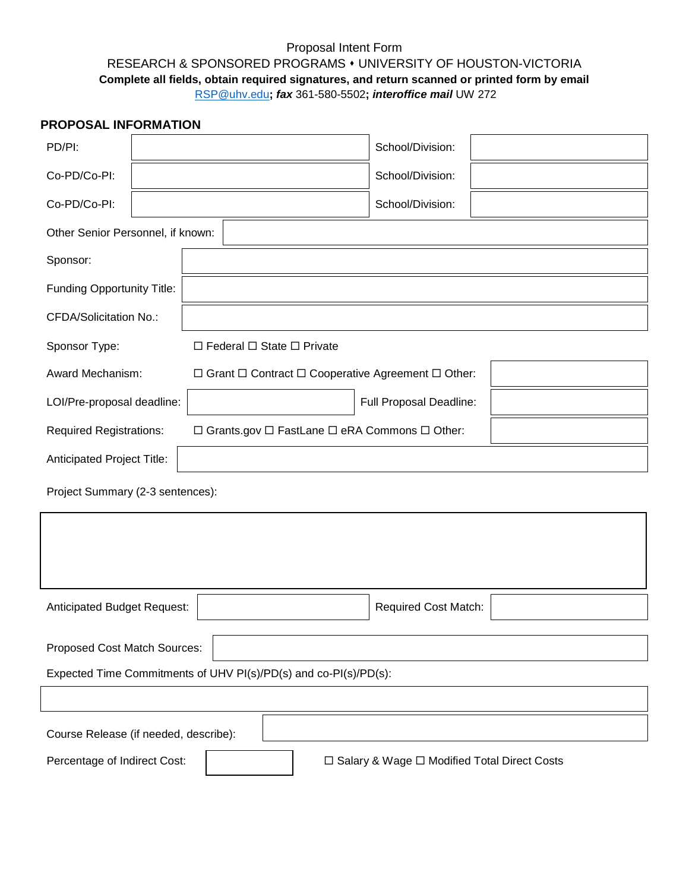## Proposal Intent Form RESEARCH & SPONSORED PROGRAMS UNIVERSITY OF HOUSTON-VICTORIA **Complete all fields, obtain required signatures, and return scanned or printed form by email** [RSP@uhv.edu](mailto:RSP@uhv.edu)**;** *fax* 361-580-5502**;** *interoffice mail* UW 272

## **PROPOSAL INFORMATION**

| PD/PI:                                                           |  |                                                                         |  |                                               | School/Division:                                                   |  |
|------------------------------------------------------------------|--|-------------------------------------------------------------------------|--|-----------------------------------------------|--------------------------------------------------------------------|--|
| Co-PD/Co-PI:                                                     |  |                                                                         |  |                                               | School/Division:                                                   |  |
| Co-PD/Co-PI:                                                     |  |                                                                         |  | School/Division:                              |                                                                    |  |
| Other Senior Personnel, if known:                                |  |                                                                         |  |                                               |                                                                    |  |
| Sponsor:                                                         |  |                                                                         |  |                                               |                                                                    |  |
| Funding Opportunity Title:                                       |  |                                                                         |  |                                               |                                                                    |  |
| <b>CFDA/Solicitation No.:</b>                                    |  |                                                                         |  |                                               |                                                                    |  |
| Sponsor Type:<br>$\Box$ Federal $\Box$ State $\Box$ Private      |  |                                                                         |  |                                               |                                                                    |  |
| Award Mechanism:                                                 |  | $\Box$ Grant $\Box$ Contract $\Box$ Cooperative Agreement $\Box$ Other: |  |                                               |                                                                    |  |
| LOI/Pre-proposal deadline:                                       |  |                                                                         |  | Full Proposal Deadline:                       |                                                                    |  |
| <b>Required Registrations:</b>                                   |  |                                                                         |  |                                               | $\Box$ Grants.gov $\Box$ FastLane $\Box$ eRA Commons $\Box$ Other: |  |
| Anticipated Project Title:                                       |  |                                                                         |  |                                               |                                                                    |  |
| Project Summary (2-3 sentences):                                 |  |                                                                         |  |                                               |                                                                    |  |
|                                                                  |  |                                                                         |  |                                               |                                                                    |  |
|                                                                  |  |                                                                         |  |                                               |                                                                    |  |
|                                                                  |  |                                                                         |  |                                               |                                                                    |  |
| Anticipated Budget Request:                                      |  |                                                                         |  |                                               | <b>Required Cost Match:</b>                                        |  |
| Proposed Cost Match Sources:                                     |  |                                                                         |  |                                               |                                                                    |  |
| Expected Time Commitments of UHV PI(s)/PD(s) and co-PI(s)/PD(s): |  |                                                                         |  |                                               |                                                                    |  |
|                                                                  |  |                                                                         |  |                                               |                                                                    |  |
| Course Release (if needed, describe):                            |  |                                                                         |  |                                               |                                                                    |  |
| Percentage of Indirect Cost:                                     |  |                                                                         |  | □ Salary & Wage □ Modified Total Direct Costs |                                                                    |  |